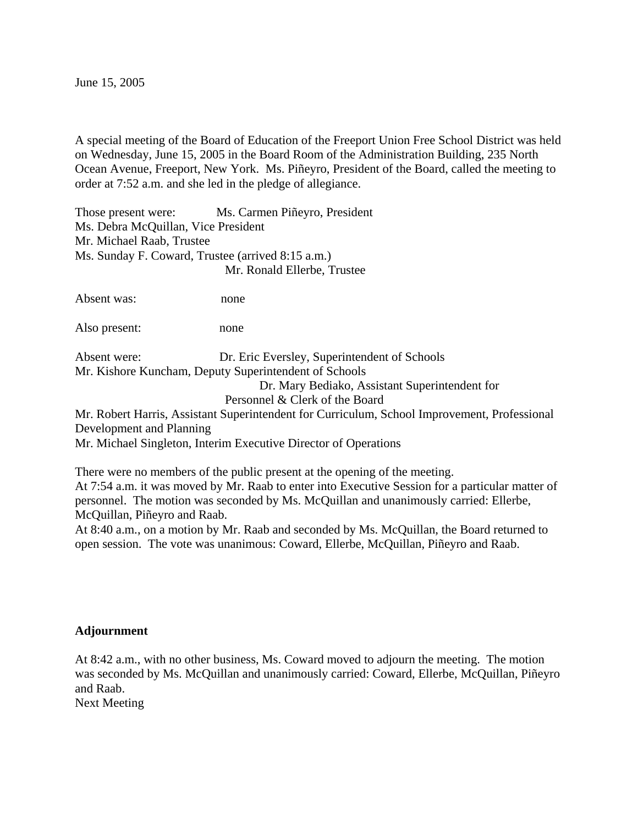June 15, 2005

A special meeting of the Board of Education of the Freeport Union Free School District was held on Wednesday, June 15, 2005 in the Board Room of the Administration Building, 235 North Ocean Avenue, Freeport, New York. Ms. Piñeyro, President of the Board, called the meeting to order at 7:52 a.m. and she led in the pledge of allegiance.

Those present were: Ms. Carmen Piñeyro, President Ms. Debra McQuillan, Vice President Mr. Michael Raab, Trustee Ms. Sunday F. Coward, Trustee (arrived 8:15 a.m.) Mr. Ronald Ellerbe, Trustee

Absent was: none

Also present: none

Absent were: Dr. Eric Eversley, Superintendent of Schools Mr. Kishore Kuncham, Deputy Superintendent of Schools

> Dr. Mary Bediako, Assistant Superintendent for Personnel & Clerk of the Board

Mr. Robert Harris, Assistant Superintendent for Curriculum, School Improvement, Professional Development and Planning

Mr. Michael Singleton, Interim Executive Director of Operations

There were no members of the public present at the opening of the meeting. At 7:54 a.m. it was moved by Mr. Raab to enter into Executive Session for a particular matter of personnel. The motion was seconded by Ms. McQuillan and unanimously carried: Ellerbe, McQuillan, Piñeyro and Raab.

At 8:40 a.m., on a motion by Mr. Raab and seconded by Ms. McQuillan, the Board returned to open session. The vote was unanimous: Coward, Ellerbe, McQuillan, Piñeyro and Raab.

## **Adjournment**

At 8:42 a.m., with no other business, Ms. Coward moved to adjourn the meeting. The motion was seconded by Ms. McQuillan and unanimously carried: Coward, Ellerbe, McQuillan, Piñeyro and Raab.

Next Meeting